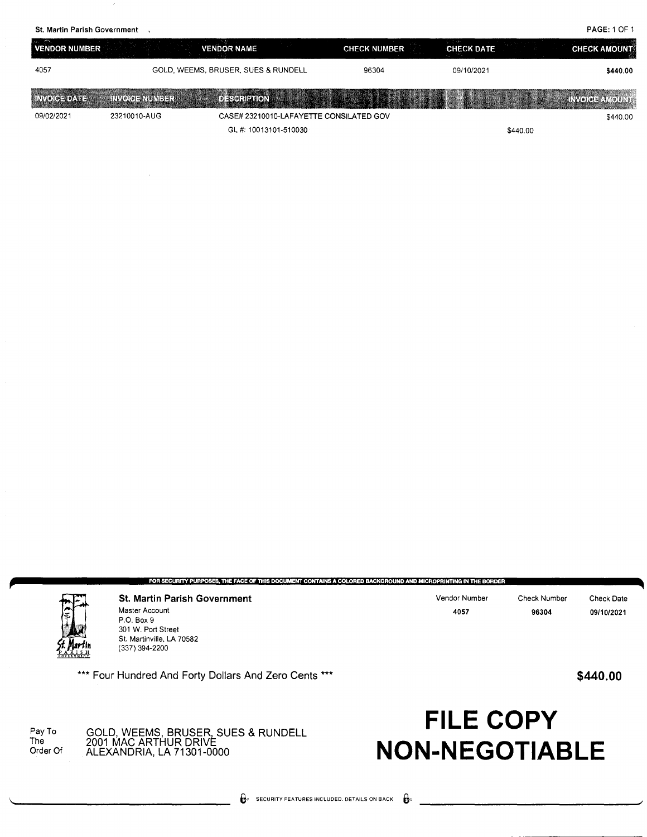| <b>VENDOR NUMBER</b>                    |                       | <b>VENDOR NAME</b>                       | <b>CHECK NUMBER</b> | <b>CHECK DATE</b> | <b>CHECK AMOUNT</b>    |
|-----------------------------------------|-----------------------|------------------------------------------|---------------------|-------------------|------------------------|
| 4057                                    |                       | GOLD, WEEMS, BRUSER, SUES & RUNDELL      | 96304               | 09/10/2021        | \$440.00               |
| $\text{[VVA]}$ (e) = 07. $\text{H} = 0$ | <b>INVOICE NUMBER</b> | $\epsilon$ and $\epsilon$ and $\epsilon$ |                     |                   | NYO (0) 37. NJ (0) UNI |
| 09/02/2021                              | 23210010-AUG          | CASE# 23210010-LAFAYETTE CONSILATED GOV  |                     |                   | \$440.00               |
|                                         |                       | GL #: 10013101-510030                    |                     | \$440.00          |                        |

| FOR SECURITY PURPOSES, THE FACE OF THIS DOCUMENT CONTAINS A COLORED BACKGROUND AND MICROPRINTING IN THE BORDER |
|----------------------------------------------------------------------------------------------------------------|
|                                                                                                                |



**St. Martin Parish Government**  Master Account P.O. Box 9 301 W. Port Street St. Martinville, LA 70582 (337) 394-2200

| Vendor Number | Check Number | Check Date |
|---------------|--------------|------------|
| 4057          | 96304        | 09/10/2021 |

\*\*\* Four Hundred And Forty Dollars And Zero Cents \*\*\*

**\$440.00** 

Pay To The Order Of

**P** 

GOLD, WEEMS, BRUSER, SUES & RUNDELL 2001 MAC ARTHUR DRIVE ALEXANDRIA, LA 71301-0000

# **FILE COPY NON-NEGOTIABLE**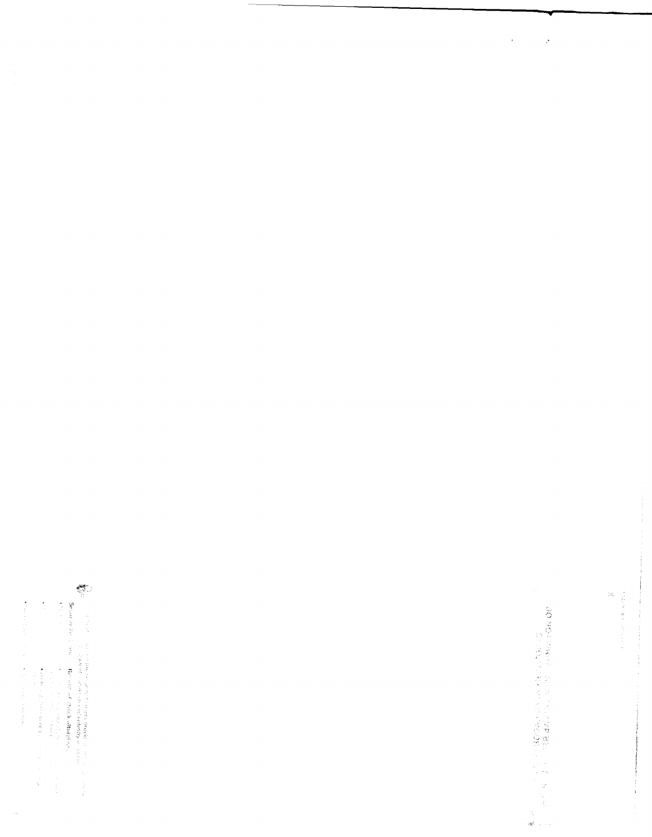$\label{eq:2.1} \mathcal{L}_{\mathcal{A}}(\mathcal{A}) = \mathcal{A}(\mathcal{A}) \mathcal{A}(\mathcal{A}) = \mathcal{A}(\mathcal{A}) \mathcal{A}(\mathcal{A}) = \mathcal{A}(\mathcal{A}) \mathcal{A}(\mathcal{A}) = \mathcal{A}(\mathcal{A}) \mathcal{A}(\mathcal{A}) = \mathcal{A}(\mathcal{A}) \mathcal{A}(\mathcal{A}) = \mathcal{A}(\mathcal{A}) \mathcal{A}(\mathcal{A}) = \mathcal{A}(\mathcal{A}) \mathcal{A}(\mathcal{A}) = \mathcal{A}(\mathcal{A}) \mathcal{A$ 

 $\cdot$ 

コンピュー Subjects (の) がいかん かんこう かんきょう かいきょう しょうかい しょうかん しょうかん こうしん やくしょう あいしょう あいかん かんきょう はんせい しょう こうしょう しょうかい しょうかい しょうかん こうしょう



. The contraction of the contract of the contract of the contract of the contract of the contract of the contract of the contract of the contract of the contract of the contract of the contract of the contract of the cont

 $\label{eq:2.1} \mathcal{L}(\mathcal{L}) = \mathcal{L}(\mathcal{L}(\mathcal{L})) = \mathcal{L}(\mathcal{L}(\mathcal{L})) = \mathcal{L}(\mathcal{L}(\mathcal{L})) = \mathcal{L}(\mathcal{L}(\mathcal{L})) = \mathcal{L}(\mathcal{L}(\mathcal{L})) = \mathcal{L}(\mathcal{L}(\mathcal{L})) = \mathcal{L}(\mathcal{L}(\mathcal{L})) = \mathcal{L}(\mathcal{L}(\mathcal{L})) = \mathcal{L}(\mathcal{L}(\mathcal{L})) = \mathcal{L}(\mathcal{L}(\mathcal{L})) = \mathcal{L}(\math$ 

of the Sales of the Kingdom

 $\mathbb{R}$ 

- Control Control Control Control Control Control Control Control Control Control Control Control Control Control Control Control Control Control Control Control Control Control Control Control Control Control Control Co

 $\hat{\mathcal{L}}$ 

 $\hat{r}$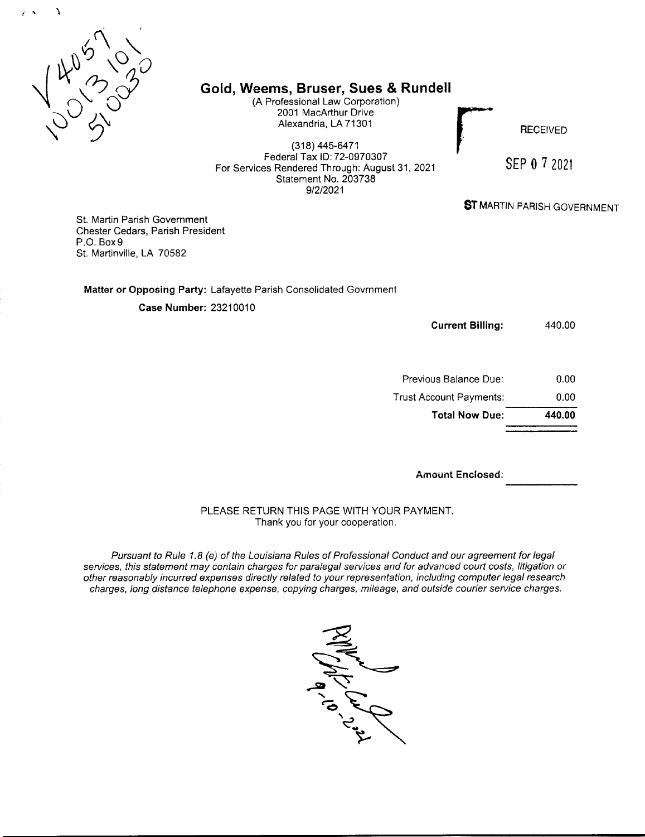

(A Professional Law Corporation) 2001 MacArthur Drive Alexandria, LA 71301

(318) 445-6471 Federal Tax ID: 72-0970307 For Services Rendered Through: August 31, 2021 Statement No. 203738 9/2/2021

**RECEIVED**<br>**RECEIVED**<br>**SEP 0 7 202 SEP O 7** <sup>2021</sup>

**ST** MARTIN PARISH GOVERNMENT

St. Martin Parish Government Chester Cedars, Parish President P.O. Box9 St. Martinville, LA 70582

**Matter or Opposing Party:** Lafayette Parish Consolidated Govrnment

**Case Number:** 23210010

**Current Billing:** 440.00

Previous Balance Due: 0.00

Trust Account Payments: 0.00<br>
Total Now Due: 440.00

**Amount Enclosed:** 

PLEASE RETURN THIS PAGE WITH YOUR PAYMENT. Thank you for your cooperation.

Pursuant to Rule 1.8 (e) of the Louisiana Rules of Professional Conduct and our agreement for legal services, this statement may contain charges for paralegal services and for advanced court costs, litigation or other reasonably incurred expenses directly related to your representation, including computer legal research charges, long distance telephone expense, copying charges, mileage, and outside courier service charges.

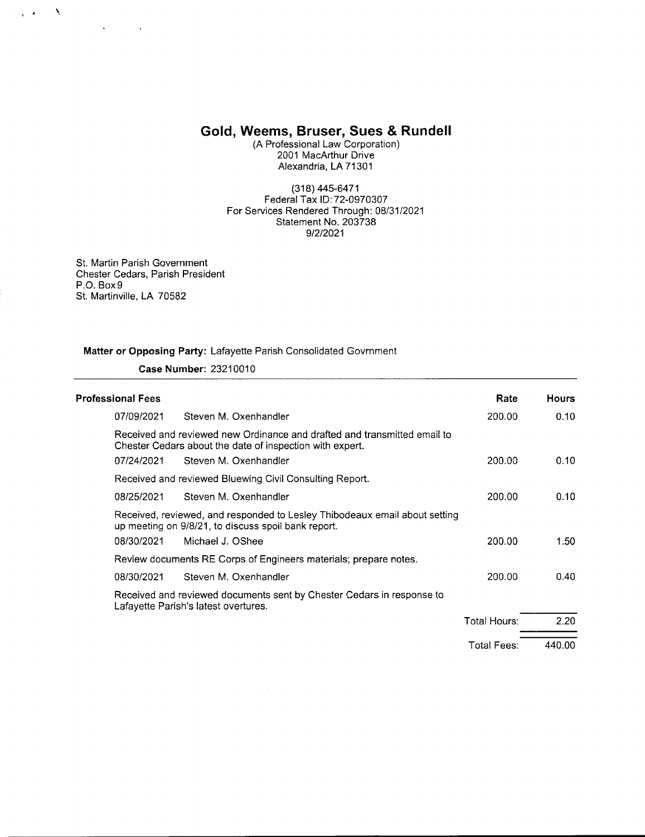(A Professional Law Corporation) 2001 MacArthur Drive Alexandria, LA 71301

#### (318) 445-6471 Federal Tax ID: 72-0970307 For Services Rendered Through: 08/31/2021 Statement No. 203738 9/2/2021

St. Martin Parish Government Chester Cedars, Parish President P.O. Box9 St. Martinville, LA 70582

, .  $\lambda$ 

 $\ddot{\phantom{a}}$ 

 $\overline{1}$ 

#### **Matter or Opposing Party:** Lafayette Parish Consolidated Govrnment

**Case Number:** 23210010

| <b>Professional Fees</b>                                                                                                             | Rate         | <b>Hours</b> |
|--------------------------------------------------------------------------------------------------------------------------------------|--------------|--------------|
| 07/09/2021<br>Steven M. Oxenhandler                                                                                                  | 200.00       | 0.10         |
| Received and reviewed new Ordinance and drafted and transmitted email to<br>Chester Cedars about the date of inspection with expert. |              |              |
| Steven M. Oxenhandler<br>07/24/2021                                                                                                  | 200.00       | 0.10         |
| Received and reviewed Bluewing Civil Consulting Report.                                                                              |              |              |
| Steven M. Oxenhandler<br>08/25/2021                                                                                                  | 200.00       | 0.10         |
| Received, reviewed, and responded to Lesley Thibodeaux email about setting<br>up meeting on 9/8/21, to discuss spoil bank report.    |              |              |
| Michael J. OShee<br>08/30/2021                                                                                                       | 200.00       | 1.50         |
| Review documents RE Corps of Engineers materials; prepare notes.                                                                     |              |              |
| 08/30/2021<br>Steven M. Oxenhandler                                                                                                  | 200.00       | 0.40         |
| Received and reviewed documents sent by Chester Cedars in response to<br>Lafayette Parish's latest overtures.                        |              |              |
|                                                                                                                                      | Total Hours: | 2.20         |
|                                                                                                                                      | Total Fees:  | 440.00       |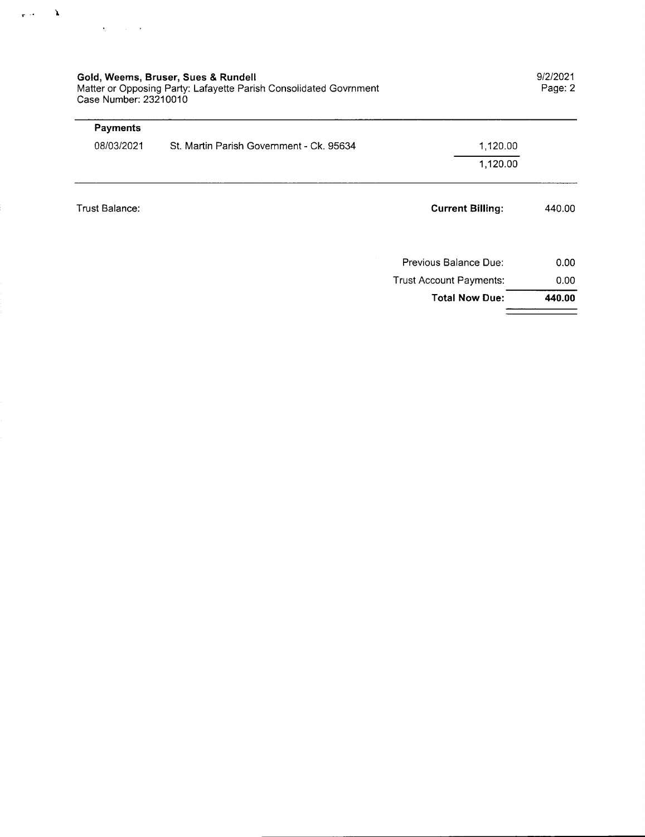| Gold, Weems, Bruser, Sues & Rundell<br>Matter or Opposing Party: Lafayette Parish Consolidated Govrnment<br>Case Number: 23210010 |                                          |                         |                   |  |
|-----------------------------------------------------------------------------------------------------------------------------------|------------------------------------------|-------------------------|-------------------|--|
| <b>Payments</b>                                                                                                                   |                                          |                         |                   |  |
| 08/03/2021                                                                                                                        | St. Martin Parish Government - Ck. 95634 | 1,120.00                |                   |  |
|                                                                                                                                   |                                          | 1,120.00                |                   |  |
| Trust Balance:                                                                                                                    |                                          | <b>Current Billing:</b> | 440.00            |  |
|                                                                                                                                   |                                          | Previous Balance Due:   | 0.00 <sub>1</sub> |  |
|                                                                                                                                   |                                          | Trust Account Payments: | 0.00              |  |
|                                                                                                                                   |                                          | <b>Total Now Due:</b>   | 440.00            |  |

r ·• **'I.**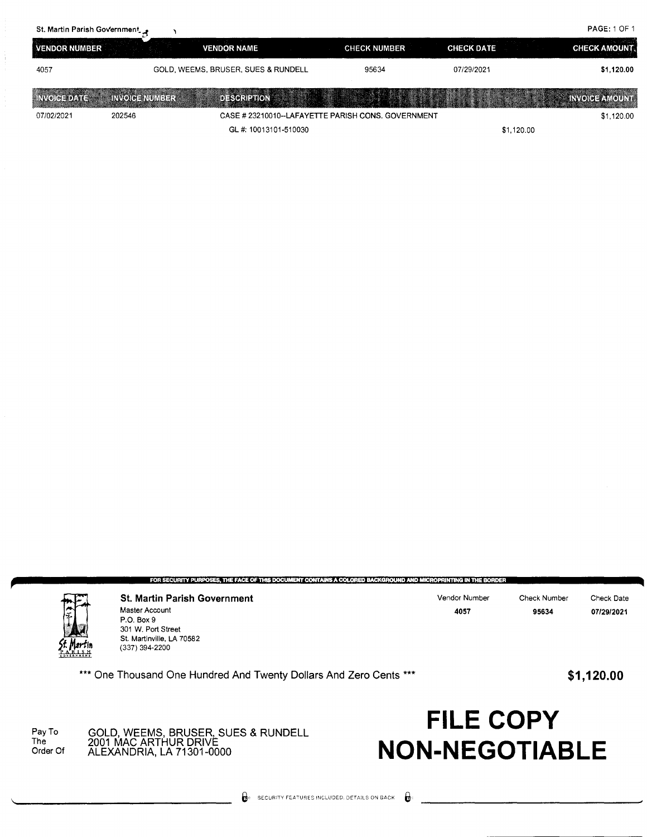|            |        | INVOICE DATE INVOICE NUMBER DESCRIPTION            |            |
|------------|--------|----------------------------------------------------|------------|
| 07/02/2021 | 202546 | CASE # 23210010--LAFAYETTE PARISH CONS, GOVERNMENT |            |
|            |        | GL #: 10013101-510030                              | \$1.120.00 |

FOR SECURITY PURPOSES, THE FACE OF THIS DOCUMENT CONTAINS A COLORED BACKGROUND AND MICROPRINTING IN THE BOR



**p** 

**St. Martin Parish Government**  Master Account P.O. Box 9 301 W. Port Street St. Martinville, LA 70582 (337) 394-2200

| Vendor Number | Check Number | Check Date |
|---------------|--------------|------------|
| 4057          | 95634        | 07/29/2021 |
|               |              |            |

\*\*\* One Thousand One Hundred And Twenty Dollars And Zero Cents \*\*\*

**\$1,120.00** 

'

\$1,120.00

Pay To The Order Of GOLD, WEEMS, BRUSER, SUES & RUNDELL 2001 MAC ARTHUR DRIVE ALEXANDRIA, LA 71301-0000

# **FILE COPY NON-NEGOTIABLE**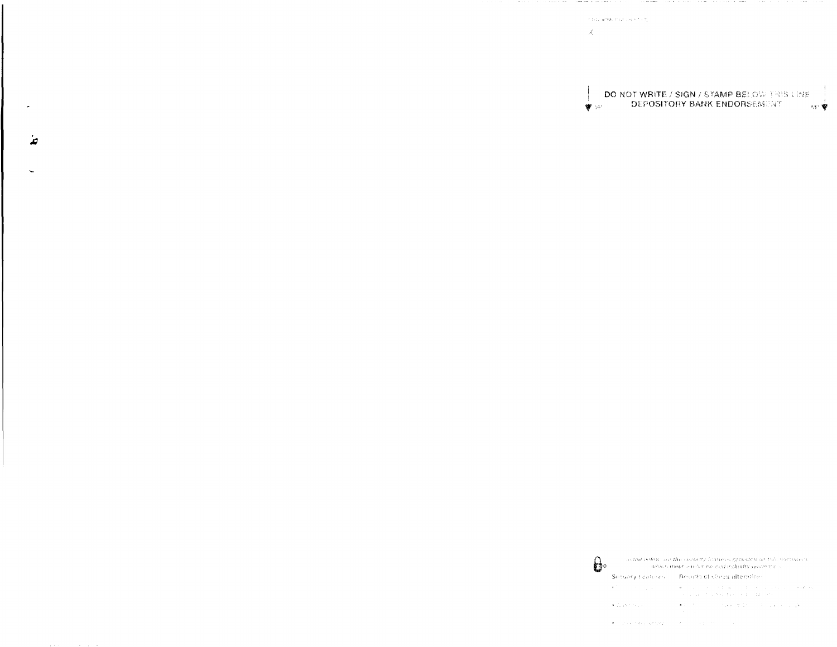Independence of the stand

 $\mathcal{K}^-$ 

DO NOT WRITE / SIGN / STAMP BELOW THIS LINE  $\sim 10$ **DEPOSITORY BANK ENDORSEMENT**  $\Psi$  M<sup>2</sup> iver **v** 

inited leads, are the security features growded an IIsh darkness which meet can be the conductivity quade an  $\sim$  $\theta$ 

Security Features - Results of Check alterations

 $\bullet$  the second particle  $\bullet$  . The second particle is the second constant on  $\bullet$  ,  $\bullet$  ,  $\bullet$  ,  $\bullet$  ,  $\bullet$  ,  $\bullet$  ,  $\bullet$  ,  $\bullet$  ,  $\bullet$  ,  $\bullet$  ,  $\bullet$  ,  $\bullet$  ,  $\bullet$  ,  $\bullet$  ,  $\bullet$ 

 $\bullet$  Date experiments of  $\bullet$  and  $\theta$  , which is a positive of the contractor  $\phi$  and

 $\bullet$  , where  $\bullet$  is a distinct  $\mathcal{O}(\mathcal{O}(2^d))$  , and  $\mathcal{O}(\mathcal{O}(2^d))$  , and  $\mathcal{O}(\mathcal{O}(2^d))$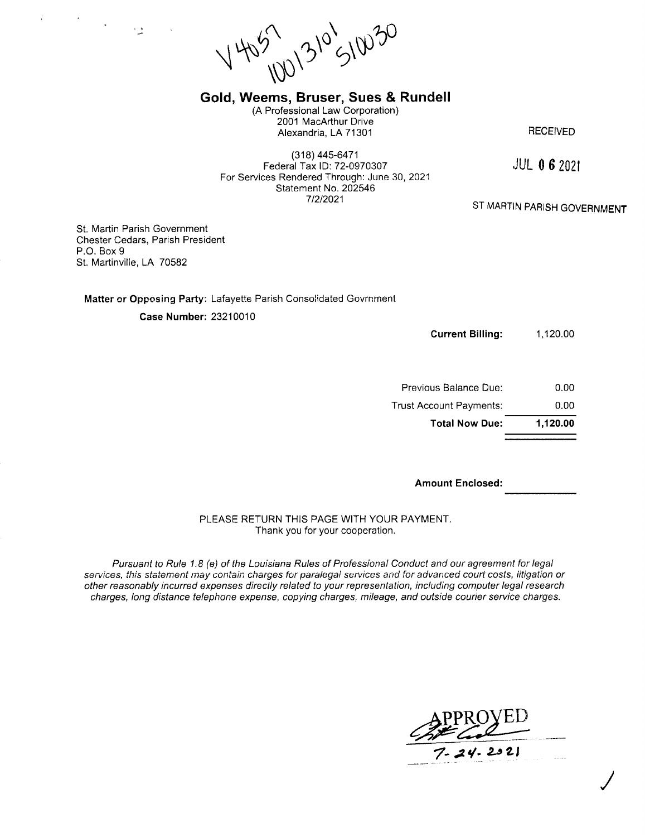55 310' 510' 30

(A Professional Law Corporation) 2001 MacArthur Drive Alexandria, LA 71301

RECEIVED

(318) 445-6471 Federal Tax ID: 72-0970307 For Services Rendered Through: June 30, 2021 Statement No. 202546 7/2/2021

ST MARTIN PARISH **GOVERNMENT** 

JUL **O 6 2021** 

St. Martin Parish Government Chester Cedars, Parish President P.O. Box 9 St. Martinville, LA 70582

 $\bar{t}$ 

**Matter or Opposing Party:** Lafayette Parish Consolidated Govrnment

**Case Number:** 23210010

**Current Billing:** 1,120.00

Previous Balance Due: 0.00

Trust Account Payments: 0.00<br>
Total Now Due: 1,120.00

**Amount Enclosed:** 

PLEASE RETURN THIS PAGE WITH YOUR PAYMENT. Thank you for your cooperation.

Pursuant to Rule 1.8 (e) of the Louisiana Rules of Professional Conduct and our agreement for legal services, this statement may contain charges for paralegal services and for advanced court costs, litigation or other reasonably incurred expenses directly related to your representation, including computer legal research charges, long distance telephone expense, copying charges, mileage, and outside courier service charges.

*dJY~.*  **7- \_:I. I/-** *:z\_.,* **2.,** 

**J**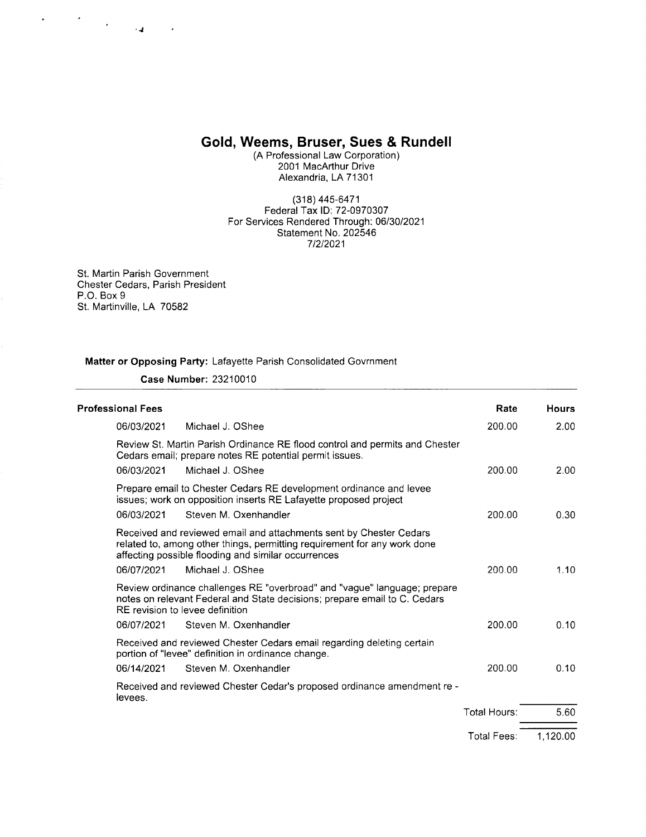(A Professional Law Corporation) 2001 MacArthur Drive Alexandria, LA 71301

(318) 445-6471 Federal Tax ID: 72-0970307 For Services Rendered Through: 06/30/2021 Statement No. 202546 7/2/2021

St. Martin Parish Government Chester Cedars, Parish President P.O. Box 9 St. Martinville, LA 70582

. **.J** 

#### **Matter or Opposing Party:** Lafayette Parish Consolidated Govrnment

**Case Number:** 23210010

| <b>Professional Fees</b>                                                                                                                                                                              | Rate         | <b>Hours</b> |
|-------------------------------------------------------------------------------------------------------------------------------------------------------------------------------------------------------|--------------|--------------|
| 06/03/2021<br>Michael J. OShee                                                                                                                                                                        | 200.00       | 2.00         |
| Review St. Martin Parish Ordinance RE flood control and permits and Chester<br>Cedars email; prepare notes RE potential permit issues.                                                                |              |              |
| 06/03/2021<br>Michael J. OShee                                                                                                                                                                        | 200.00       | 2.00         |
| Prepare email to Chester Cedars RE development ordinance and levee<br>issues; work on opposition inserts RE Lafayette proposed project                                                                |              |              |
| 06/03/2021<br>Steven M. Oxenhandler                                                                                                                                                                   | 200.00       | 0.30         |
| Received and reviewed email and attachments sent by Chester Cedars<br>related to, among other things, permitting requirement for any work done<br>affecting possible flooding and similar occurrences |              |              |
| 06/07/2021<br>Michael J. OShee                                                                                                                                                                        | 200.00       | 1.10         |
| Review ordinance challenges RE "overbroad" and "vague" language; prepare<br>notes on relevant Federal and State decisions; prepare email to C. Cedars<br>RE revision to levee definition              |              |              |
| 06/07/2021<br>Steven M. Oxenhandler                                                                                                                                                                   | 200.00       | 0.10         |
| Received and reviewed Chester Cedars email regarding deleting certain<br>portion of "levee" definition in ordinance change.                                                                           |              |              |
| 06/14/2021<br>Steven M. Oxenhandler                                                                                                                                                                   | 200.00       | 0.10         |
| Received and reviewed Chester Cedar's proposed ordinance amendment re -<br>levees.                                                                                                                    |              |              |
|                                                                                                                                                                                                       | Total Hours: | 5.60         |
|                                                                                                                                                                                                       | Total Fees:  | 1,120.00     |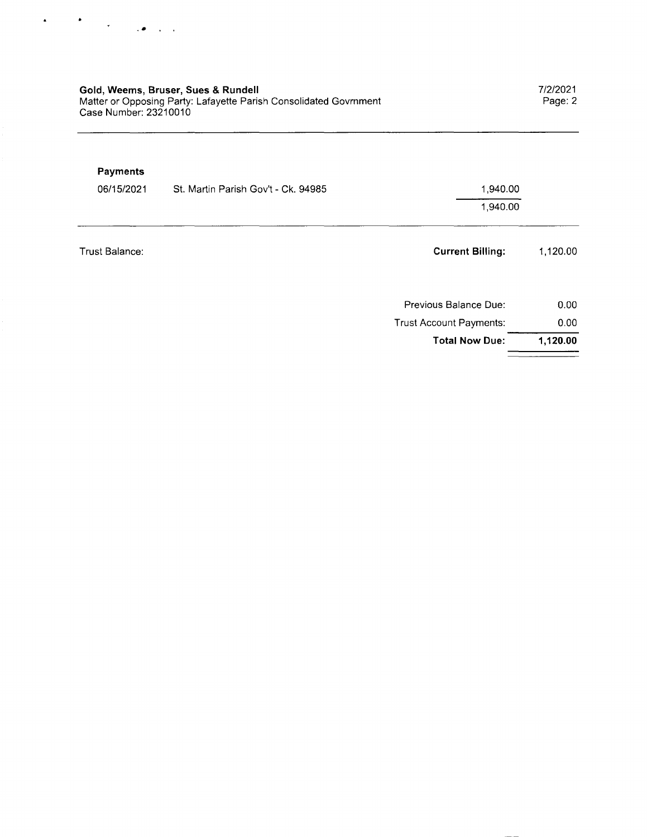| Gold, Weems, Bruser, Sues & Rundell<br>Matter or Opposing Party: Lafayette Parish Consolidated Govrnment<br>Case Number: 23210010 |                                     |                         |          |
|-----------------------------------------------------------------------------------------------------------------------------------|-------------------------------------|-------------------------|----------|
| <b>Payments</b><br>06/15/2021                                                                                                     | St. Martin Parish Gov't - Ck. 94985 | 1,940.00                |          |
|                                                                                                                                   |                                     | 1,940.00                |          |
| Trust Balance:                                                                                                                    |                                     | <b>Current Billing:</b> | 1,120.00 |
|                                                                                                                                   |                                     | Previous Balance Due:   | 0.00     |
|                                                                                                                                   |                                     | Trust Account Payments: | 0.00     |
|                                                                                                                                   |                                     | <b>Total Now Due:</b>   | 1,120.00 |

 $\overline{\phantom{a}}$ 

 $\label{eq:2} \frac{1}{\sqrt{2}}\left(\frac{1}{\sqrt{2}}\right)^2\left(\frac{1}{\sqrt{2}}\right)^2\left(\frac{1}{\sqrt{2}}\right)^2\left(\frac{1}{\sqrt{2}}\right)^2\left(\frac{1}{\sqrt{2}}\right)^2\left(\frac{1}{\sqrt{2}}\right)^2.$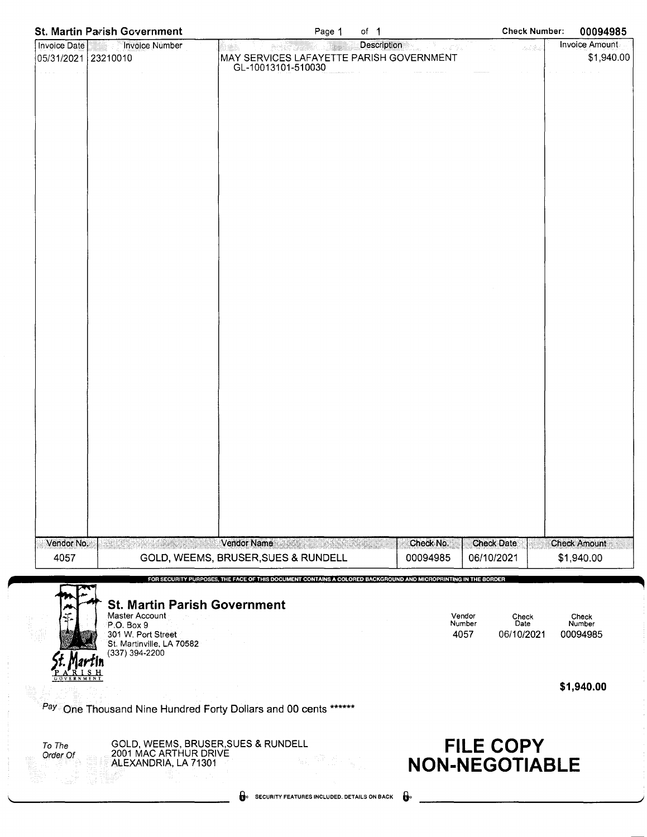| St. Martin Parish Government                                                                               | Page 1<br>of $1$                                                                                               | <b>Check Number:</b>                                     | 00094985                          |
|------------------------------------------------------------------------------------------------------------|----------------------------------------------------------------------------------------------------------------|----------------------------------------------------------|-----------------------------------|
| Invoice Date<br><b>Invoice Number</b><br>05/31/2021 23210010                                               | <b>Description</b><br>ratori komunika kunika ku<br>MAY SERVICES LAFAYETTE PARISH GOVERNMENT                    | ita al Gradi<br>ី ជាស្ថិតក<br>W.                         | Invoice Amount<br>\$1,940.00      |
| a sa salar                                                                                                 | GL-10013101-510030<br><b>College</b>                                                                           |                                                          | <b>Contractor</b>                 |
|                                                                                                            |                                                                                                                |                                                          |                                   |
|                                                                                                            |                                                                                                                |                                                          |                                   |
|                                                                                                            |                                                                                                                |                                                          |                                   |
|                                                                                                            |                                                                                                                |                                                          |                                   |
|                                                                                                            |                                                                                                                |                                                          |                                   |
|                                                                                                            |                                                                                                                |                                                          |                                   |
|                                                                                                            |                                                                                                                |                                                          |                                   |
|                                                                                                            |                                                                                                                |                                                          |                                   |
|                                                                                                            |                                                                                                                |                                                          |                                   |
|                                                                                                            |                                                                                                                |                                                          |                                   |
|                                                                                                            |                                                                                                                |                                                          |                                   |
|                                                                                                            |                                                                                                                |                                                          |                                   |
|                                                                                                            |                                                                                                                |                                                          |                                   |
|                                                                                                            |                                                                                                                |                                                          |                                   |
|                                                                                                            |                                                                                                                |                                                          |                                   |
|                                                                                                            |                                                                                                                |                                                          |                                   |
|                                                                                                            |                                                                                                                |                                                          |                                   |
|                                                                                                            |                                                                                                                |                                                          |                                   |
| Vendor No.<br>4057                                                                                         | Vendor Name and Company<br>GOLD, WEEMS, BRUSER, SUES & RUNDELL                                                 | Check No.<br><b>Check Date</b><br>00094985<br>06/10/2021 | <b>Check Amount</b><br>\$1,940.00 |
|                                                                                                            | FOR SECURITY PURPOSES, THE FACE OF THIS DOCUMENT CONTAINS A COLORED BACKGROUND AND MICROPRINTING IN THE BORDER |                                                          |                                   |
| <b>St. Martin Parish Government</b><br>Master Account                                                      |                                                                                                                | Vendor<br>Check                                          | Check                             |
| P.O. Box 9<br>301 W. Port Street                                                                           |                                                                                                                | Number<br>Date<br>4057<br>06/10/2021                     | Number<br>00094985                |
| St. Martinville, LA 70582<br>(337) 394-2200                                                                |                                                                                                                |                                                          |                                   |
|                                                                                                            |                                                                                                                |                                                          | \$1,940.00                        |
| Pay One Thousand Nine Hundred Forty Dollars and 00 cents ******                                            |                                                                                                                |                                                          |                                   |
|                                                                                                            |                                                                                                                |                                                          |                                   |
| GOLD, WEEMS, BRUSER, SUES & RUNDELL<br>To The<br>2001 MAC ARTHUR DRIVE<br>Order Of<br>ALEXANDRIA, LA 71301 |                                                                                                                | <b>FILE COPY</b><br><b>NON-NEGOTIABLE</b>                |                                   |
|                                                                                                            |                                                                                                                |                                                          |                                   |
|                                                                                                            | SECURITY FEATURES INCLUDED. DETAILS ON BACK                                                                    | $\mathbf{e}$                                             |                                   |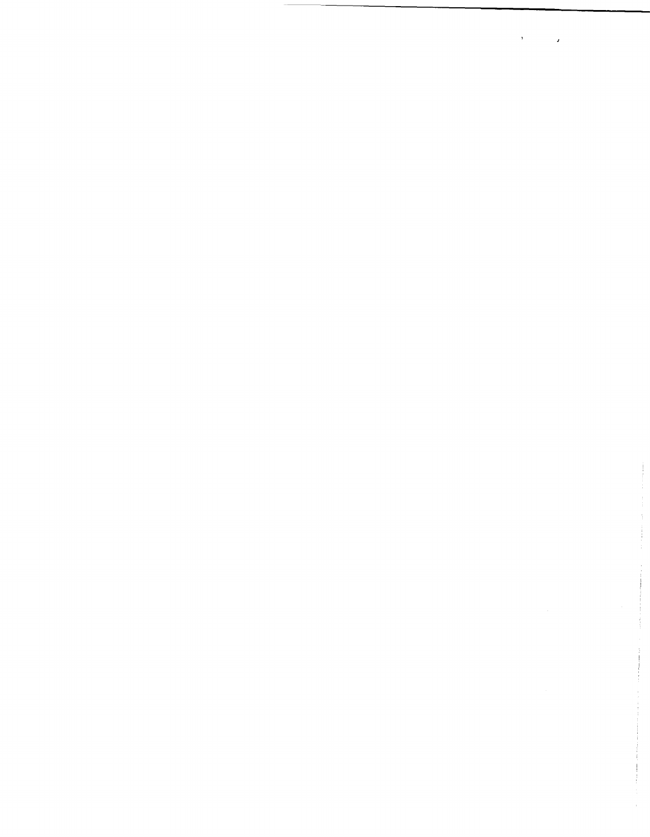$\mathcal{O}(\mathcal{O}(\log n))$ 

 $\bar{\tau}$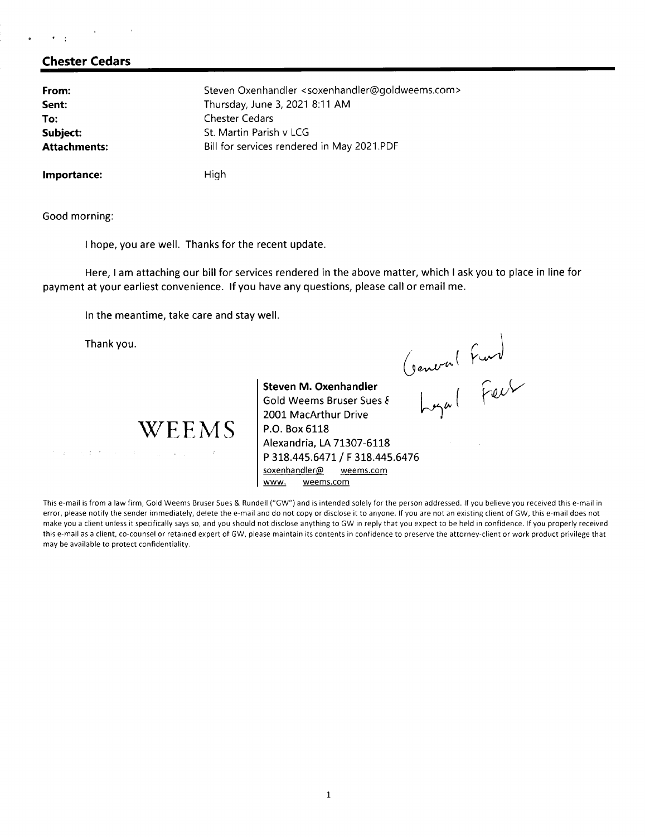### **Chester Cedars**

 $\mathcal{A}=\mathcal{A}$  .

| From:        | Steven Oxenhandler <soxenhandler@goldweems.com></soxenhandler@goldweems.com> |
|--------------|------------------------------------------------------------------------------|
| Sent:        | Thursday, June 3, 2021 8:11 AM                                               |
| To:          | <b>Chester Cedars</b>                                                        |
| Subject:     | St. Martin Parish v LCG                                                      |
| Attachments: | Bill for services rendered in May 2021.PDF                                   |
|              |                                                                              |

**Importance:** 

High

Good morning:

I hope, you are well. Thanks for the recent update.

Here, I am attaching our bill for services rendered in the above matter, which I ask you to place in line for payment at your earliest convenience. If you have any questions, please call or email me.

In the meantime, take care and stay well.

Thank you.

 $\mathcal{O}(\mathcal{O}_2(\mathcal{X}))$  the set of  $\mathcal{O}_2(\mathcal{O}_2(\mathcal{X}))$  . The set of

**WEEMS** 

**Steven M. Oxenhandler**  Gold Weems Bruser Sues  $\delta$ 2001 MacArthur Drive P.O. Box 6118 Alexandria, LA 71307-6118 P 318.445.6471 / F 318.445.6476 soxenhandler@ weems.com www. weems.com

General Fund<br>Logal Freet

This e-mail is from a law firm, Gold Weems Bruser Sues & Rundell ("GW") and is intended solely for the person addressed. If you believe you received this e-mail in error, please notify the sender immediately, delete the e-mail and do not copy or disclose it to anyone. If you are not an existing client of GW, this e-mail does not make you a client unless it specifically says so, and you should not disclose anything to GW in reply that you expect to be held in confidence. If you properly received this e-mail as a client, co-counsel or retained expert of GW, please maintain its contents in confidence to preserve the attorney-client or work product privilege that may be available to protect confidentiality.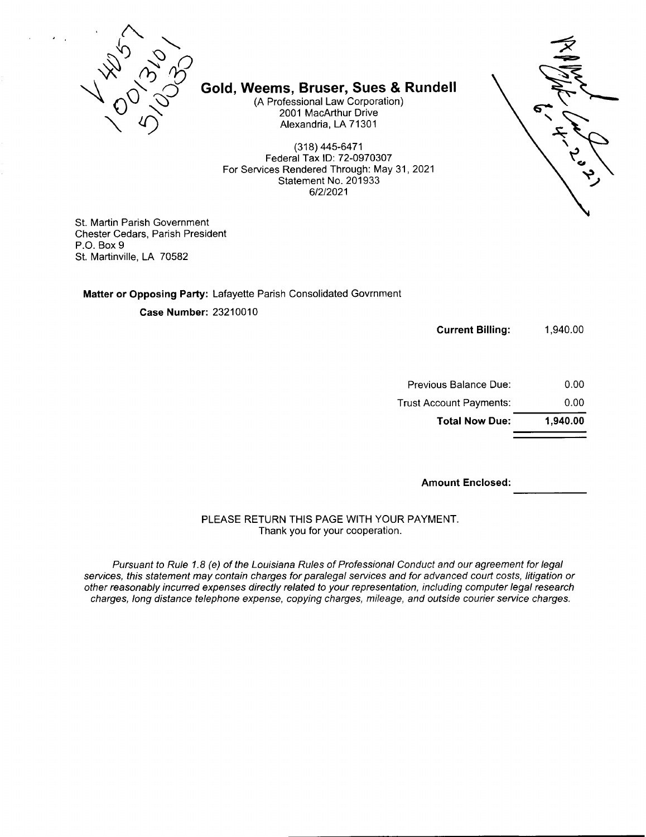

(A Professional Law Corporation) 2001 MacArthur Drive Alexandria, LA 71301



(318) 445-6471 Federal Tax ID: 72-0970307 For Services Rendered Through: May 31, 2021 Statement No. 201933 6/2/2021

St. Martin Parish Government Chester Cedars, Parish President P.O. Box 9 St. Martinville, LA 70582

**Matter or Opposing Party:** Lafayette Parish Consolidated Govrnment

**Case Number:** 23210010

**Current Billing:** 1,940.00

| <b>Total Now Due:</b>          | 1.940.00 |
|--------------------------------|----------|
| <b>Trust Account Payments:</b> | 0.00     |
| Previous Balance Due:          | 0.00     |

**Amount Enclosed:** 

#### PLEASE RETURN THIS PAGE WITH YOUR PAYMENT. Thank you for your cooperation.

Pursuant to Rule 1.8 (e) of the Louisiana Rules of Professional Conduct and our agreement for legal services, this statement may contain charges for paralegal services and for advanced court costs, litigation or other reasonably incurred expenses directly related to your representation, including computer legal research charges, long distance telephone expense, copying charges, mileage, and outside courier service charges.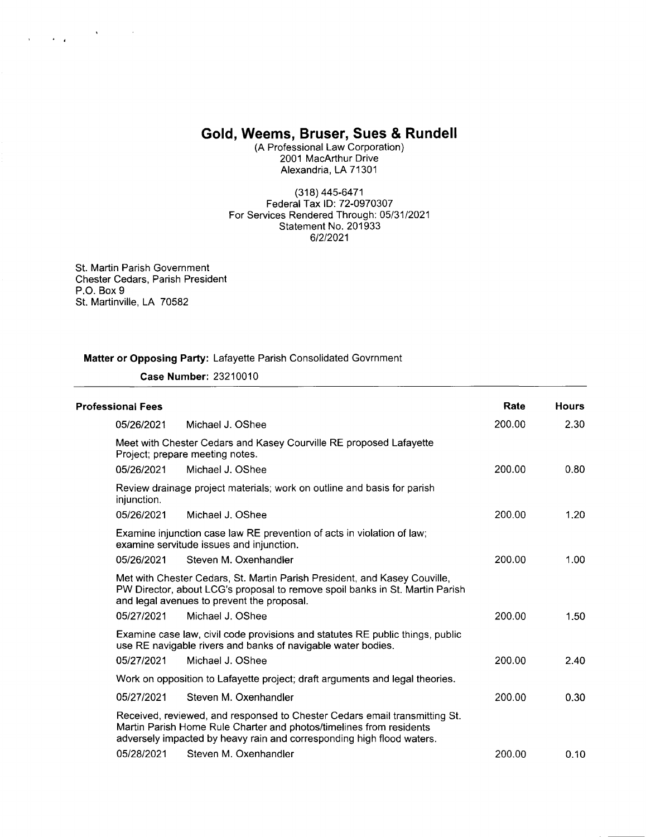(A Professional Law Corporation) 2001 MacArthur Drive Alexandria, LA 71301

(318) 445-6471 Federal Tax ID: 72-0970307 For Services Rendered Through: 05/31/2021 Statement No. 201933 6/2/2021

St. Martin Parish Government Chester Cedars, Parish President P.O. Box 9 St. Martinville, LA 70582

 $\label{eq:1} \frac{1}{2}\sum_{i=1}^n\frac{1}{2}\sum_{i=1}^n\frac{1}{2}\sum_{i=1}^n\frac{1}{2}\sum_{i=1}^n\frac{1}{2}\sum_{i=1}^n\frac{1}{2}\sum_{i=1}^n\frac{1}{2}\sum_{i=1}^n\frac{1}{2}\sum_{i=1}^n\frac{1}{2}\sum_{i=1}^n\frac{1}{2}\sum_{i=1}^n\frac{1}{2}\sum_{i=1}^n\frac{1}{2}\sum_{i=1}^n\frac{1}{2}\sum_{i=1}^n\frac{1}{2}\sum_{i=1}^n\frac{$ 

#### **Matter or Opposing Party:** Lafayette Parish Consolidated Govrnment

**Case Number:** 23210010

| <b>Professional Fees</b> |                                                                                                                                                                                                                            | Rate   | <b>Hours</b> |
|--------------------------|----------------------------------------------------------------------------------------------------------------------------------------------------------------------------------------------------------------------------|--------|--------------|
| 05/26/2021               | Michael J. OShee                                                                                                                                                                                                           | 200.00 | 2.30         |
|                          | Meet with Chester Cedars and Kasey Courville RE proposed Lafayette<br>Project; prepare meeting notes.                                                                                                                      |        |              |
| 05/26/2021               | Michael J. OShee                                                                                                                                                                                                           | 200.00 | 0.80         |
| injunction.              | Review drainage project materials; work on outline and basis for parish                                                                                                                                                    |        |              |
| 05/26/2021               | Michael J. OShee                                                                                                                                                                                                           | 200.00 | 1.20         |
|                          | Examine injunction case law RE prevention of acts in violation of law;<br>examine servitude issues and injunction.                                                                                                         |        |              |
| 05/26/2021               | Steven M. Oxenhandler                                                                                                                                                                                                      | 200.00 | 1.00         |
|                          | Met with Chester Cedars, St. Martin Parish President, and Kasey Couville,<br>PW Director, about LCG's proposal to remove spoil banks in St. Martin Parish<br>and legal avenues to prevent the proposal.                    |        |              |
| 05/27/2021               | Michael J. OShee                                                                                                                                                                                                           | 200.00 | 1.50         |
|                          | Examine case law, civil code provisions and statutes RE public things, public<br>use RE navigable rivers and banks of navigable water bodies.                                                                              |        |              |
| 05/27/2021               | Michael J. OShee                                                                                                                                                                                                           | 200.00 | 2.40         |
|                          | Work on opposition to Lafayette project; draft arguments and legal theories.                                                                                                                                               |        |              |
| 05/27/2021               | Steven M. Oxenhandler                                                                                                                                                                                                      | 200.00 | 0.30         |
|                          | Received, reviewed, and responsed to Chester Cedars email transmitting St.<br>Martin Parish Home Rule Charter and photos/timelines from residents<br>adversely impacted by heavy rain and corresponding high flood waters. |        |              |
| 05/28/2021               | Steven M. Oxenhandler                                                                                                                                                                                                      | 200.00 | 0.10         |